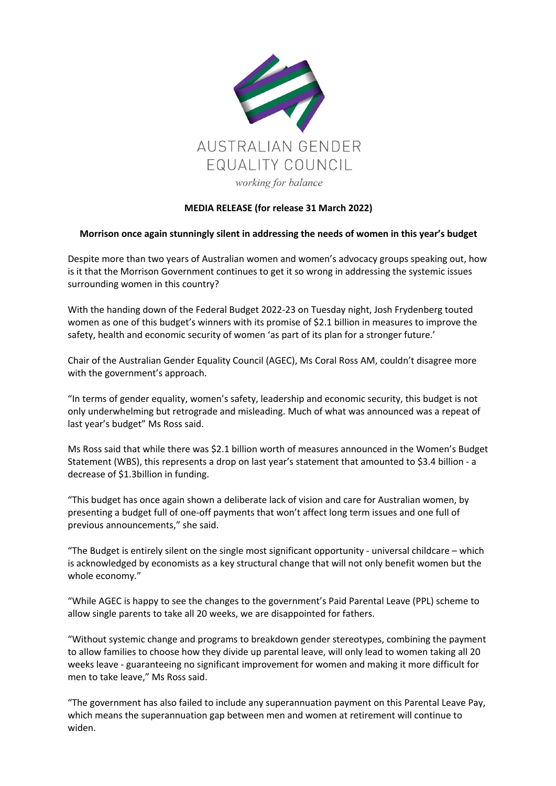

## **MEDIA RELEASE (for release 31 March 2022)**

## **Morrison once again stunningly silent in addressing the needs of women in this year's budget**

Despite more than two years of Australian women and women's advocacy groups speaking out, how is it that the Morrison Government continues to get it so wrong in addressing the systemic issues surrounding women in this country?

With the handing down of the Federal Budget 2022-23 on Tuesday night, Josh Frydenberg touted women as one of this budget's winners with its promise of \$2.1 billion in measures to improve the safety, health and economic security of women 'as part of its plan for a stronger future.'

Chair of the Australian Gender Equality Council (AGEC), Ms Coral Ross AM, couldn't disagree more with the government's approach.

"In terms of gender equality, women's safety, leadership and economic security, this budget is not only underwhelming but retrograde and misleading. Much of what was announced was a repeat of last year's budget" Ms Ross said.

Ms Ross said that while there was \$2.1 billion worth of measures announced in the Women's Budget Statement (WBS), this represents a drop on last year's statement that amounted to \$3.4 billion - a decrease of \$1.3billion in funding.

"This budget has once again shown a deliberate lack of vision and care for Australian women, by presenting a budget full of one-off payments that won't affect long term issues and one full of previous announcements," she said.

"The Budget is entirely silent on the single most significant opportunity - universal childcare – which is acknowledged by economists as a key structural change that will not only benefit women but the whole economy."

"While AGEC is happy to see the changes to the government's Paid Parental Leave (PPL) scheme to allow single parents to take all 20 weeks, we are disappointed for fathers.

"Without systemic change and programs to breakdown gender stereotypes, combining the payment to allow families to choose how they divide up parental leave, will only lead to women taking all 20 weeks leave - guaranteeing no significant improvement for women and making it more difficult for men to take leave," Ms Ross said.

"The government has also failed to include any superannuation payment on this Parental Leave Pay, which means the superannuation gap between men and women at retirement will continue to widen.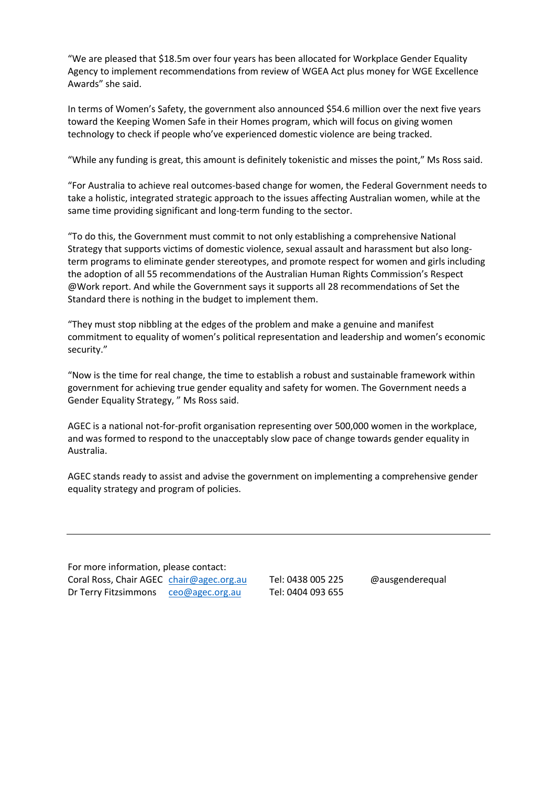"We are pleased that \$18.5m over four years has been allocated for Workplace Gender Equality Agency to implement recommendations from review of WGEA Act plus money for WGE Excellence Awards" she said.

In terms of Women's Safety, the government also announced \$54.6 million over the next five years toward the Keeping Women Safe in their Homes program, which will focus on giving women technology to check if people who've experienced domestic violence are being tracked.

"While any funding is great, this amount is definitely tokenistic and misses the point," Ms Ross said.

"For Australia to achieve real outcomes-based change for women, the Federal Government needs to take a holistic, integrated strategic approach to the issues affecting Australian women, while at the same time providing significant and long-term funding to the sector.

"To do this, the Government must commit to not only establishing a comprehensive National Strategy that supports victims of domestic violence, sexual assault and harassment but also longterm programs to eliminate gender stereotypes, and promote respect for women and girls including the adoption of all 55 recommendations of the Australian Human Rights Commission's Respect @Work report. And while the Government says it supports all 28 recommendations of Set the Standard there is nothing in the budget to implement them.

"They must stop nibbling at the edges of the problem and make a genuine and manifest commitment to equality of women's political representation and leadership and women's economic security."

"Now is the time for real change, the time to establish a robust and sustainable framework within government for achieving true gender equality and safety for women. The Government needs a Gender Equality Strategy, " Ms Ross said.

AGEC is a national not-for-profit organisation representing over 500,000 women in the workplace, and was formed to respond to the unacceptably slow pace of change towards gender equality in Australia.

AGEC stands ready to assist and advise the government on implementing a comprehensive gender equality strategy and program of policies.

For more information, please contact: Coral Ross, Chair AGEC chair@agec.org.au Tel: 0438 005 225 @ausgenderequal Dr Terry Fitzsimmons ceo@agec.org.au Tel: 0404 093 655